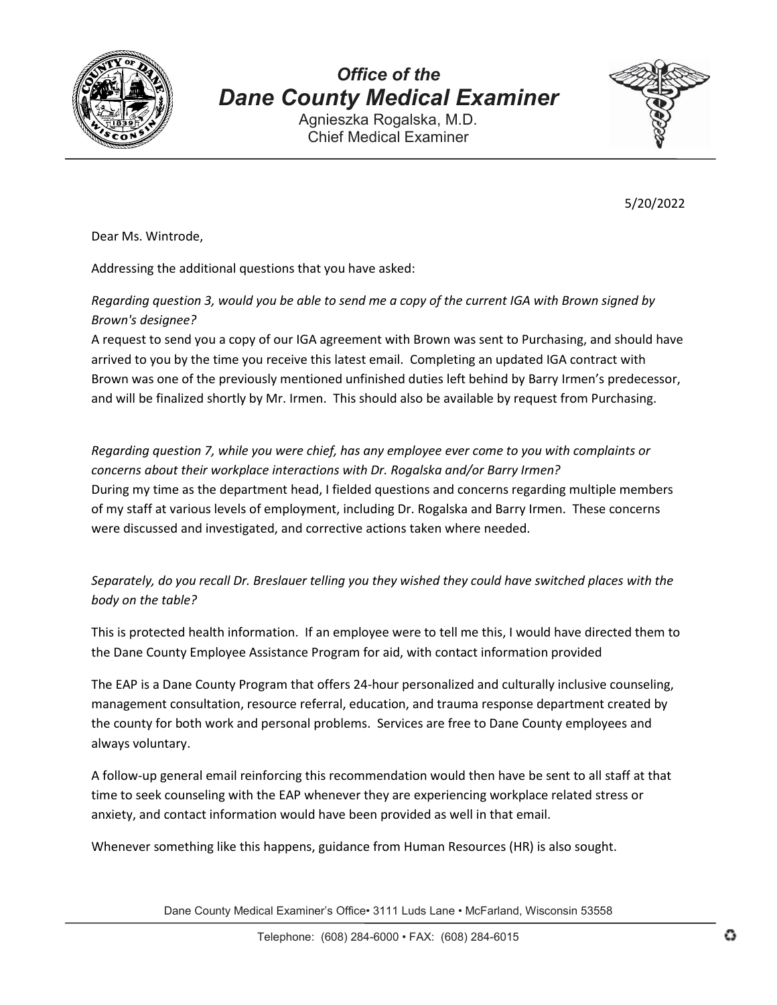

# *Office of the Dane County Medical Examiner*

Agnieszka Rogalska, M.D. Chief Medical Examiner



5/20/2022

Dear Ms. Wintrode,

Addressing the additional questions that you have asked:

### *Regarding question 3, would you be able to send me a copy of the current IGA with Brown signed by Brown's designee?*

A request to send you a copy of our IGA agreement with Brown was sent to Purchasing, and should have arrived to you by the time you receive this latest email. Completing an updated IGA contract with Brown was one of the previously mentioned unfinished duties left behind by Barry Irmen's predecessor, and will be finalized shortly by Mr. Irmen. This should also be available by request from Purchasing.

*Regarding question 7, while you were chief, has any employee ever come to you with complaints or concerns about their workplace interactions with Dr. Rogalska and/or Barry Irmen?* During my time as the department head, I fielded questions and concerns regarding multiple members of my staff at various levels of employment, including Dr. Rogalska and Barry Irmen. These concerns were discussed and investigated, and corrective actions taken where needed.

### *Separately, do you recall Dr. Breslauer telling you they wished they could have switched places with the body on the table?*

This is protected health information. If an employee were to tell me this, I would have directed them to the Dane County Employee Assistance Program for aid, with contact information provided

The EAP is a Dane County Program that offers 24-hour personalized and culturally inclusive counseling, management consultation, resource referral, education, and trauma response department created by the county for both work and personal problems. Services are free to Dane County employees and always voluntary.

A follow-up general email reinforcing this recommendation would then have be sent to all staff at that time to seek counseling with the EAP whenever they are experiencing workplace related stress or anxiety, and contact information would have been provided as well in that email.

Whenever something like this happens, guidance from Human Resources (HR) is also sought.

Dane County Medical Examiner's Office• 3111 Luds Lane • McFarland, Wisconsin 53558